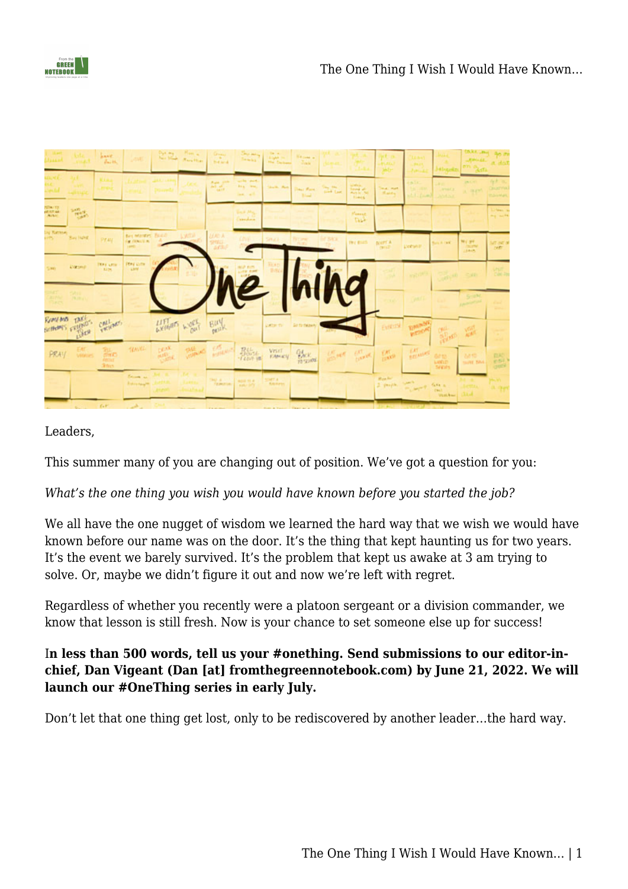



| Llassed                                     |                       | <i>lines</i> .<br>$B_{\rm max}$ 16. |                                                           |                               | $\begin{picture}(20,20) \put(0,0){\line(1,0){10}} \put(15,0){\line(1,0){10}} \put(15,0){\line(1,0){10}} \put(15,0){\line(1,0){10}} \put(15,0){\line(1,0){10}} \put(15,0){\line(1,0){10}} \put(15,0){\line(1,0){10}} \put(15,0){\line(1,0){10}} \put(15,0){\line(1,0){10}} \put(15,0){\line(1,0){10}} \put(15,0){\line(1,0){10}} \put(15,0){\line(1$ | Green<br>1947<br><b>Historica</b>                                                                              |                                             | 227 232<br><b>He Delivery</b> | <b>Network</b><br><b>STORM</b> |                  |                                                               |                                |                                                         | <b>Johnseilm</b>                      | <b>INKA</b> JPH<br><b>ROGAL</b><br>on a <sub>ddla</sub> | Bo m<br>a dot                                 |
|---------------------------------------------|-----------------------|-------------------------------------|-----------------------------------------------------------|-------------------------------|-----------------------------------------------------------------------------------------------------------------------------------------------------------------------------------------------------------------------------------------------------------------------------------------------------------------------------------------------------|----------------------------------------------------------------------------------------------------------------|---------------------------------------------|-------------------------------|--------------------------------|------------------|---------------------------------------------------------------|--------------------------------|---------------------------------------------------------|---------------------------------------|---------------------------------------------------------|-----------------------------------------------|
| <b>Sandal</b>                               |                       |                                     |                                                           |                               |                                                                                                                                                                                                                                                                                                                                                     | <b>Base and</b><br>$\frac{\partial \mathcal{L}_{\mathcal{A}}(\mathcal{A})}{\partial \mathcal{L}(\mathcal{A})}$ | write layer.<br><b>Bra</b> West<br>lam, all | Shalk, Ron.                   | Days Rain,<br><b>Black</b>     | $\sum_{i=1}^{n}$ | al William<br>forest af-<br><b>Madrid</b> Md.<br><b>Fines</b> | <b>Wed., Mark</b><br>Marke     | <b>CINC</b><br><b>SACTORIZATION</b><br>$1.1.4$ km $\pi$ | . .<br><b>Armid Ca</b><br><b>ANAN</b> | putch?<br>A HEATTY                                      | lyt a<br><b>CRUSTYIN</b><br><b>HOLMAN</b>     |
| NTIAL TO<br><b>AFIRM AR</b><br><b>LAINE</b> | SAFE.<br><b>TEMPS</b> |                                     |                                                           |                               |                                                                                                                                                                                                                                                                                                                                                     |                                                                                                                | <b>Back Ally</b><br><b>Straiting</b>        |                               |                                |                  | Hanne<br><b>Disk</b>                                          |                                |                                                         |                                       |                                                         | $\frac{15}{14}$                               |
| by Rettines<br><b>CONTRACTOR</b>            | <b>Bay NAK</b>        | PEAU.                               | Bey Market, Talich<br><b>Car Fillman Line</b><br>Law City |                               | <b>L'ATER</b>                                                                                                                                                                                                                                                                                                                                       | <b>UAN A</b><br><b>SPRILL</b><br>settius                                                                       |                                             | <b>STRACK</b>                 |                                | <b>CERS</b>      | TWO BEACH                                                     | <b>BOUFF A</b><br><b>CRILD</b> | <b>Decision</b>                                         | <b>Burn A cast</b>                    | Ni ( av<br><b>LEARN</b>                                 | <b>MT BE B</b><br><b>Seft</b>                 |
| 5,861                                       | <b>Darsey</b>         | <b>TEAT AFTER</b><br><b>RIDE</b>    | Physicans                                                 |                               |                                                                                                                                                                                                                                                                                                                                                     |                                                                                                                |                                             |                               |                                |                  |                                                               |                                | <b>ANGELINE</b>                                         | <b>RITIS OF</b>                       | <10                                                     | Call 78                                       |
| 73.47<br><b>CALLES</b>                      | 5811<br><b>DOWN</b>   |                                     |                                                           |                               |                                                                                                                                                                                                                                                                                                                                                     |                                                                                                                | $\mathbf{e}$                                |                               | llull                          |                  | C                                                             |                                |                                                         |                                       | Stant,<br><b>Edward Street</b>                          |                                               |
| Rememb TAKE                                 | Schools regions       | CALLANT                             |                                                           |                               | LIFT WORK                                                                                                                                                                                                                                                                                                                                           | Buy                                                                                                            |                                             | <b>LOCUTION</b>               | <b>Girlto thraw</b>            |                  |                                                               | Every !!                       | <b>Entrewall</b>                                        | allen kar                             |                                                         |                                               |
| PRAY                                        | <b>Vitalian</b>       | 腨<br><b>Story</b>                   | <b>TEASTER</b>                                            | <b>DEAK</b><br><b>AND YES</b> | <b>PARADO CON</b>                                                                                                                                                                                                                                                                                                                                   | <b>FULLY</b>                                                                                                   | <b>Bible</b>                                | VEHT.<br><b>EAN-KY</b>        | <b>Ver</b><br>10-23894         |                  | Seat Cook                                                     | <b>TAL</b><br><b>THATIS</b>    | <b>TAT</b><br><b>BEFAILES</b>                           | 6415<br><b>Length</b>                 | M10<br>more have                                        | $\frac{\text{RIC}}{\text{eS1}}$<br><b>OWN</b> |
|                                             |                       |                                     | Bernett av<br><b>Robert Haracher</b>                      |                               |                                                                                                                                                                                                                                                                                                                                                     | THE R. P. LEWIS CO., LANSING MICH.                                                                             | FEMALES   ANGLES                            | SIMTA !<br><b>RADAWAY</b>     |                                |                  |                                                               | Wash. Prof.<br>$2$ -people.    | <b>SAMP</b><br>the world fire is                        | Vantes Link                           |                                                         | D. Olan                                       |
|                                             |                       |                                     |                                                           |                               |                                                                                                                                                                                                                                                                                                                                                     |                                                                                                                |                                             |                               |                                |                  |                                                               |                                |                                                         |                                       |                                                         |                                               |

## Leaders,

This summer many of you are changing out of position. We've got a question for you:

*What's the one thing you wish you would have known before you started the job?*

We all have the one nugget of wisdom we learned the hard way that we wish we would have known before our name was on the door. It's the thing that kept haunting us for two years. It's the event we barely survived. It's the problem that kept us awake at 3 am trying to solve. Or, maybe we didn't figure it out and now we're left with regret.

Regardless of whether you recently were a platoon sergeant or a division commander, we know that lesson is still fresh. Now is your chance to set someone else up for success!

## I**n less than 500 words, tell us your #onething. Send submissions to our editor-inchief, Dan Vigeant (Dan [at] fromthegreennotebook.com) by June 21, 2022. We will launch our #OneThing series in early July.**

Don't let that one thing get lost, only to be rediscovered by another leader…the hard way.